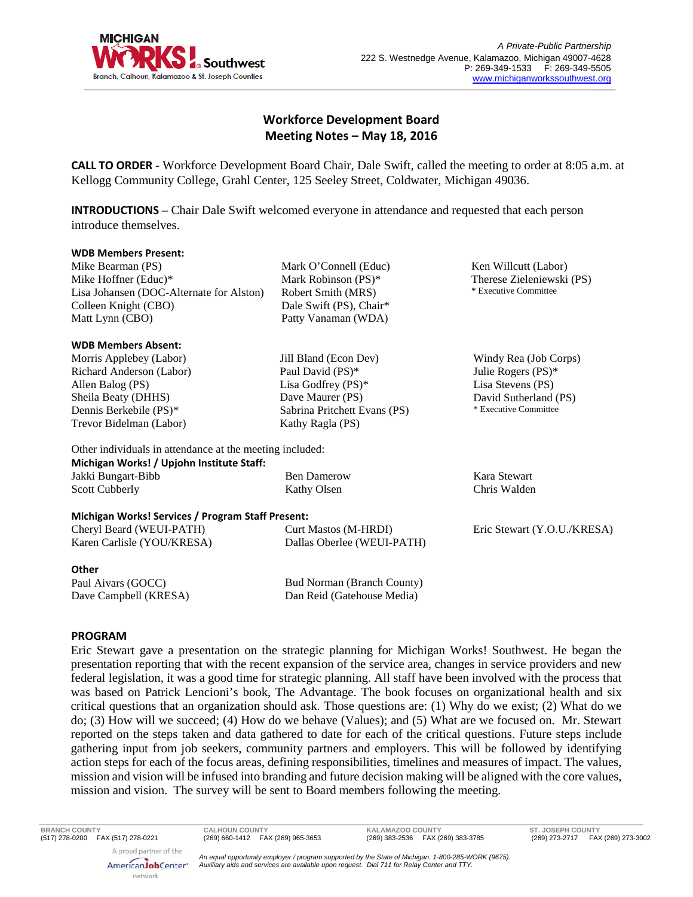

Ken Willcutt (Labor) Therese Zieleniewski (PS) \* Executive Committee

Windy Rea (Job Corps) Julie Rogers (PS)\* Lisa Stevens (PS) David Sutherland (PS) \* Executive Committee

# **Workforce Development Board Meeting Notes – May 18, 2016**

**CALL TO ORDER** - Workforce Development Board Chair, Dale Swift, called the meeting to order at 8:05 a.m. at Kellogg Community College, Grahl Center, 125 Seeley Street, Coldwater, Michigan 49036.

**INTRODUCTIONS** – Chair Dale Swift welcomed everyone in attendance and requested that each person introduce themselves.

> Mark O'Connell (Educ) Mark Robinson (PS)\* Robert Smith (MRS) Dale Swift (PS), Chair\* Patty Vanaman (WDA)

Jill Bland (Econ Dev) Paul David (PS)\* Lisa Godfrey (PS)\* Dave Maurer (PS)

Kathy Ragla (PS)

Sabrina Pritchett Evans (PS)

#### **WDB Members Present:**

Mike Bearman (PS) Mike Hoffner (Educ)\* Lisa Johansen (DOC-Alternate for Alston) Colleen Knight (CBO) Matt Lynn (CBO)

#### **WDB Members Absent:**

Morris Applebey (Labor) Richard Anderson (Labor) Allen Balog (PS) Sheila Beaty (DHHS) Dennis Berkebile (PS)\* Trevor Bidelman (Labor)

# Other individuals in attendance at the meeting included: **Michigan Works! / Upjohn Institute Staff:**

Jakki Bungart-Bibb Scott Cubberly Ben Damerow Kathy Olsen Kara Stewart Chris Walden

### **Michigan Works! Services / Program Staff Present:**

| $\ldots$                   |                            |                             |
|----------------------------|----------------------------|-----------------------------|
| Cheryl Beard (WEUI-PATH)   | Curt Mastos (M-HRDI)       | Eric Stewart (Y.O.U./KRESA) |
| Karen Carlisle (YOU/KRESA) | Dallas Oberlee (WEUI-PATH) |                             |
|                            |                            |                             |

### **Other**

Paul Aivars (GOCC) Dave Campbell (KRESA) Bud Norman (Branch County) Dan Reid (Gatehouse Media)

## **PROGRAM**

Eric Stewart gave a presentation on the strategic planning for Michigan Works! Southwest. He began the presentation reporting that with the recent expansion of the service area, changes in service providers and new federal legislation, it was a good time for strategic planning. All staff have been involved with the process that was based on Patrick Lencioni's book, The Advantage. The book focuses on organizational health and six critical questions that an organization should ask. Those questions are: (1) Why do we exist; (2) What do we do; (3) How will we succeed; (4) How do we behave (Values); and (5) What are we focused on. Mr. Stewart reported on the steps taken and data gathered to date for each of the critical questions. Future steps include gathering input from job seekers, community partners and employers. This will be followed by identifying action steps for each of the focus areas, defining responsibilities, timelines and measures of impact. The values, mission and vision will be infused into branding and future decision making will be aligned with the core values, mission and vision. The survey will be sent to Board members following the meeting.

(517) 278-0200 FAX (517) 278-0221 (269) 660-1412 FAX (269) 965-3653 (269) 383-2536 FAX (269) 383-3785 (269) 273-2717 FAX (269) 273-3002 A proud partner of the

**BRANCH COUNTY CALHOUN COUNTY KALAMAZOO COUNTY ST. JOSEPH COUNTY**

AmericanJobCenter\* network

*An equal opportunity employer / program supported by the State of Michigan. 1-800-285-WORK (9675). Auxiliary aids and services are available upon request. Dial 711 for Relay Center and TTY.*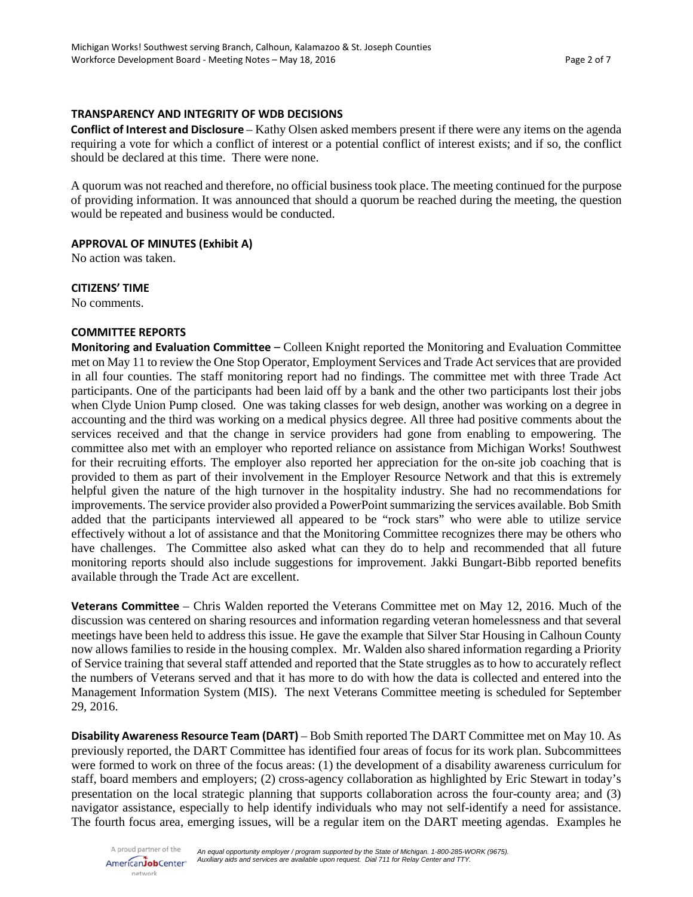### **TRANSPARENCY AND INTEGRITY OF WDB DECISIONS**

**Conflict of Interest and Disclosure** – Kathy Olsen asked members present if there were any items on the agenda requiring a vote for which a conflict of interest or a potential conflict of interest exists; and if so, the conflict should be declared at this time. There were none.

A quorum was not reached and therefore, no official business took place. The meeting continued for the purpose of providing information. It was announced that should a quorum be reached during the meeting, the question would be repeated and business would be conducted.

### **APPROVAL OF MINUTES (Exhibit A)**

No action was taken.

**CITIZENS' TIME**

No comments.

# **COMMITTEE REPORTS**

**Monitoring and Evaluation Committee** – Colleen Knight reported the Monitoring and Evaluation Committee met on May 11 to review the One Stop Operator, Employment Services and Trade Act services that are provided in all four counties. The staff monitoring report had no findings. The committee met with three Trade Act participants. One of the participants had been laid off by a bank and the other two participants lost their jobs when Clyde Union Pump closed. One was taking classes for web design, another was working on a degree in accounting and the third was working on a medical physics degree. All three had positive comments about the services received and that the change in service providers had gone from enabling to empowering. The committee also met with an employer who reported reliance on assistance from Michigan Works! Southwest for their recruiting efforts. The employer also reported her appreciation for the on-site job coaching that is provided to them as part of their involvement in the Employer Resource Network and that this is extremely helpful given the nature of the high turnover in the hospitality industry. She had no recommendations for improvements. The service provider also provided a PowerPoint summarizing the services available. Bob Smith added that the participants interviewed all appeared to be "rock stars" who were able to utilize service effectively without a lot of assistance and that the Monitoring Committee recognizes there may be others who have challenges. The Committee also asked what can they do to help and recommended that all future monitoring reports should also include suggestions for improvement. Jakki Bungart-Bibb reported benefits available through the Trade Act are excellent.

**Veterans Committee** – Chris Walden reported the Veterans Committee met on May 12, 2016. Much of the discussion was centered on sharing resources and information regarding veteran homelessness and that several meetings have been held to address this issue. He gave the example that Silver Star Housing in Calhoun County now allows families to reside in the housing complex. Mr. Walden also shared information regarding a Priority of Service training that several staff attended and reported that the State struggles as to how to accurately reflect the numbers of Veterans served and that it has more to do with how the data is collected and entered into the Management Information System (MIS). The next Veterans Committee meeting is scheduled for September 29, 2016.

**Disability Awareness Resource Team (DART)** – Bob Smith reported The DART Committee met on May 10. As previously reported, the DART Committee has identified four areas of focus for its work plan. Subcommittees were formed to work on three of the focus areas: (1) the development of a disability awareness curriculum for staff, board members and employers; (2) cross-agency collaboration as highlighted by Eric Stewart in today's presentation on the local strategic planning that supports collaboration across the four-county area; and (3) navigator assistance, especially to help identify individuals who may not self-identify a need for assistance. The fourth focus area, emerging issues, will be a regular item on the DART meeting agendas. Examples he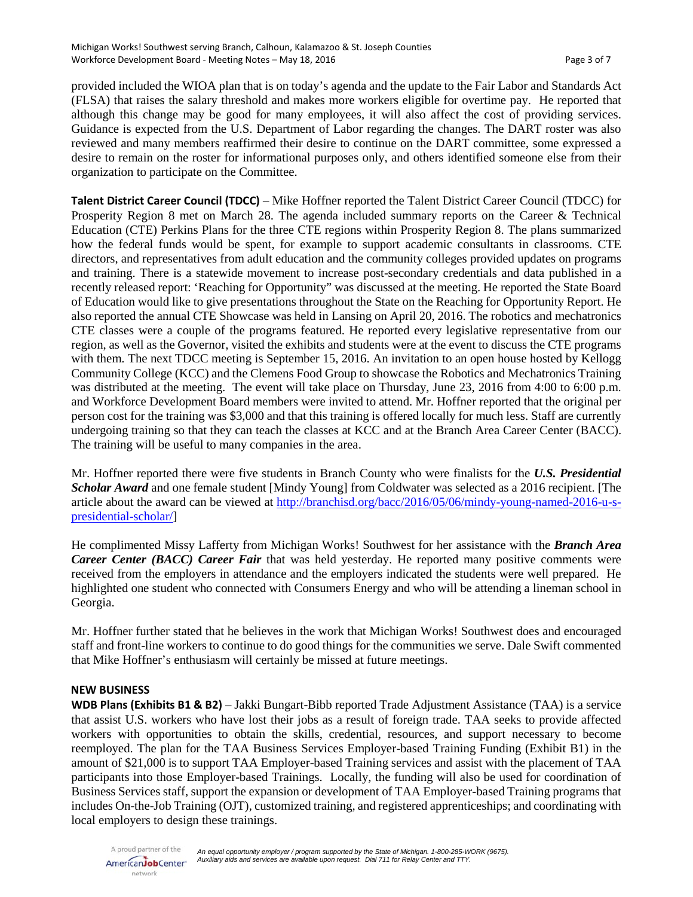provided included the WIOA plan that is on today's agenda and the update to the Fair Labor and Standards Act (FLSA) that raises the salary threshold and makes more workers eligible for overtime pay. He reported that although this change may be good for many employees, it will also affect the cost of providing services. Guidance is expected from the U.S. Department of Labor regarding the changes. The DART roster was also reviewed and many members reaffirmed their desire to continue on the DART committee, some expressed a desire to remain on the roster for informational purposes only, and others identified someone else from their organization to participate on the Committee.

**Talent District Career Council (TDCC)** – Mike Hoffner reported the Talent District Career Council (TDCC) for Prosperity Region 8 met on March 28. The agenda included summary reports on the Career & Technical Education (CTE) Perkins Plans for the three CTE regions within Prosperity Region 8. The plans summarized how the federal funds would be spent, for example to support academic consultants in classrooms. CTE directors, and representatives from adult education and the community colleges provided updates on programs and training. There is a statewide movement to increase post-secondary credentials and data published in a recently released report: 'Reaching for Opportunity" was discussed at the meeting. He reported the State Board of Education would like to give presentations throughout the State on the Reaching for Opportunity Report. He also reported the annual CTE Showcase was held in Lansing on April 20, 2016. The robotics and mechatronics CTE classes were a couple of the programs featured. He reported every legislative representative from our region, as well as the Governor, visited the exhibits and students were at the event to discuss the CTE programs with them. The next TDCC meeting is September 15, 2016. An invitation to an open house hosted by Kellogg Community College (KCC) and the Clemens Food Group to showcase the Robotics and Mechatronics Training was distributed at the meeting. The event will take place on Thursday, June 23, 2016 from 4:00 to 6:00 p.m. and Workforce Development Board members were invited to attend. Mr. Hoffner reported that the original per person cost for the training was \$3,000 and that this training is offered locally for much less. Staff are currently undergoing training so that they can teach the classes at KCC and at the Branch Area Career Center (BACC). The training will be useful to many companies in the area.

Mr. Hoffner reported there were five students in Branch County who were finalists for the *U.S. Presidential Scholar Award* and one female student [Mindy Young] from Coldwater was selected as a 2016 recipient. [The article about the award can be viewed at [http://branchisd.org/bacc/2016/05/06/mindy-young-named-2016-u-s](http://branchisd.org/bacc/2016/05/06/mindy-young-named-2016-u-s-presidential-scholar/)[presidential-scholar/\]](http://branchisd.org/bacc/2016/05/06/mindy-young-named-2016-u-s-presidential-scholar/)

He complimented Missy Lafferty from Michigan Works! Southwest for her assistance with the *Branch Area Career Center (BACC) Career Fair* that was held yesterday. He reported many positive comments were received from the employers in attendance and the employers indicated the students were well prepared. He highlighted one student who connected with Consumers Energy and who will be attending a lineman school in Georgia.

Mr. Hoffner further stated that he believes in the work that Michigan Works! Southwest does and encouraged staff and front-line workers to continue to do good things for the communities we serve. Dale Swift commented that Mike Hoffner's enthusiasm will certainly be missed at future meetings.

### **NEW BUSINESS**

**WDB Plans (Exhibits B1 & B2)** – Jakki Bungart-Bibb reported Trade Adjustment Assistance (TAA) is a service that assist U.S. workers who have lost their jobs as a result of foreign trade. TAA seeks to provide affected workers with opportunities to obtain the skills, credential, resources, and support necessary to become reemployed. The plan for the TAA Business Services Employer-based Training Funding (Exhibit B1) in the amount of \$21,000 is to support TAA Employer-based Training services and assist with the placement of TAA participants into those Employer-based Trainings. Locally, the funding will also be used for coordination of Business Services staff, support the expansion or development of TAA Employer-based Training programs that includes On-the-Job Training (OJT), customized training, and registered apprenticeships; and coordinating with local employers to design these trainings.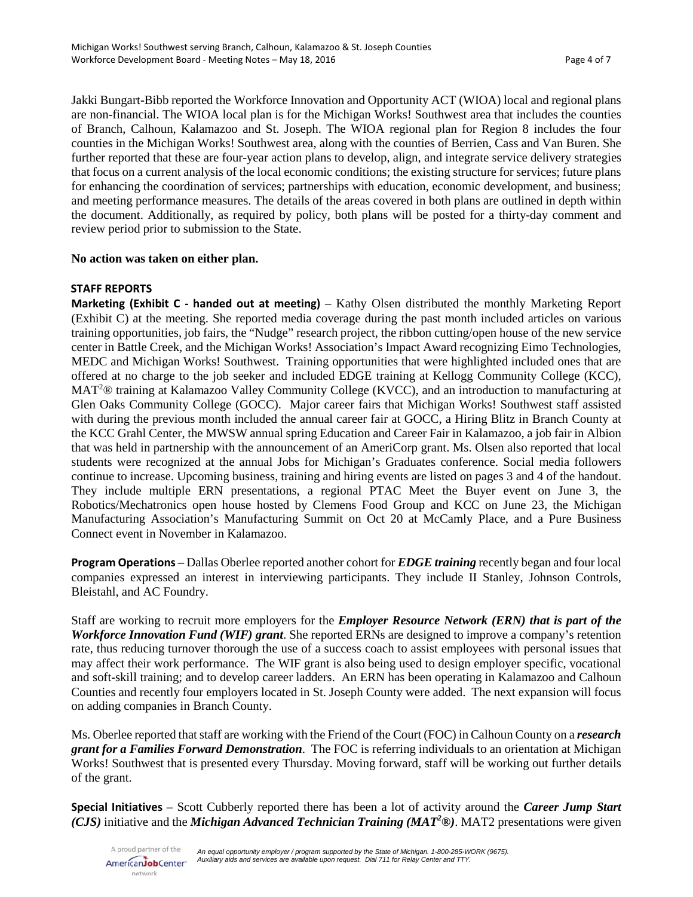Jakki Bungart-Bibb reported the Workforce Innovation and Opportunity ACT (WIOA) local and regional plans are non-financial. The WIOA local plan is for the Michigan Works! Southwest area that includes the counties of Branch, Calhoun, Kalamazoo and St. Joseph. The WIOA regional plan for Region 8 includes the four counties in the Michigan Works! Southwest area, along with the counties of Berrien, Cass and Van Buren. She further reported that these are four-year action plans to develop, align, and integrate service delivery strategies that focus on a current analysis of the local economic conditions; the existing structure for services; future plans for enhancing the coordination of services; partnerships with education, economic development, and business; and meeting performance measures. The details of the areas covered in both plans are outlined in depth within the document. Additionally, as required by policy, both plans will be posted for a thirty-day comment and review period prior to submission to the State.

# **No action was taken on either plan.**

# **STAFF REPORTS**

**Marketing (Exhibit C - handed out at meeting)** – Kathy Olsen distributed the monthly Marketing Report (Exhibit C) at the meeting. She reported media coverage during the past month included articles on various training opportunities, job fairs, the "Nudge" research project, the ribbon cutting/open house of the new service center in Battle Creek, and the Michigan Works! Association's Impact Award recognizing Eimo Technologies, MEDC and Michigan Works! Southwest. Training opportunities that were highlighted included ones that are offered at no charge to the job seeker and included EDGE training at Kellogg Community College (KCC), MAT<sup>2</sup>® training at Kalamazoo Valley Community College (KVCC), and an introduction to manufacturing at Glen Oaks Community College (GOCC). Major career fairs that Michigan Works! Southwest staff assisted with during the previous month included the annual career fair at GOCC, a Hiring Blitz in Branch County at the KCC Grahl Center, the MWSW annual spring Education and Career Fair in Kalamazoo, a job fair in Albion that was held in partnership with the announcement of an AmeriCorp grant. Ms. Olsen also reported that local students were recognized at the annual Jobs for Michigan's Graduates conference. Social media followers continue to increase. Upcoming business, training and hiring events are listed on pages 3 and 4 of the handout. They include multiple ERN presentations, a regional PTAC Meet the Buyer event on June 3, the Robotics/Mechatronics open house hosted by Clemens Food Group and KCC on June 23, the Michigan Manufacturing Association's Manufacturing Summit on Oct 20 at McCamly Place, and a Pure Business Connect event in November in Kalamazoo.

**Program Operations** – Dallas Oberlee reported another cohort for *EDGE training* recently began and four local companies expressed an interest in interviewing participants. They include II Stanley, Johnson Controls, Bleistahl, and AC Foundry.

Staff are working to recruit more employers for the *Employer Resource Network (ERN) that is part of the Workforce Innovation Fund (WIF) grant*. She reported ERNs are designed to improve a company's retention rate, thus reducing turnover thorough the use of a success coach to assist employees with personal issues that may affect their work performance. The WIF grant is also being used to design employer specific, vocational and soft-skill training; and to develop career ladders. An ERN has been operating in Kalamazoo and Calhoun Counties and recently four employers located in St. Joseph County were added. The next expansion will focus on adding companies in Branch County.

Ms. Oberlee reported that staff are working with the Friend of the Court (FOC) in Calhoun County on a *research grant for a Families Forward Demonstration*. The FOC is referring individuals to an orientation at Michigan Works! Southwest that is presented every Thursday. Moving forward, staff will be working out further details of the grant.

**Special Initiatives** – Scott Cubberly reported there has been a lot of activity around the *Career Jump Start (CJS)* initiative and the *Michigan Advanced Technician Training (MAT2 ®)*. MAT2 presentations were given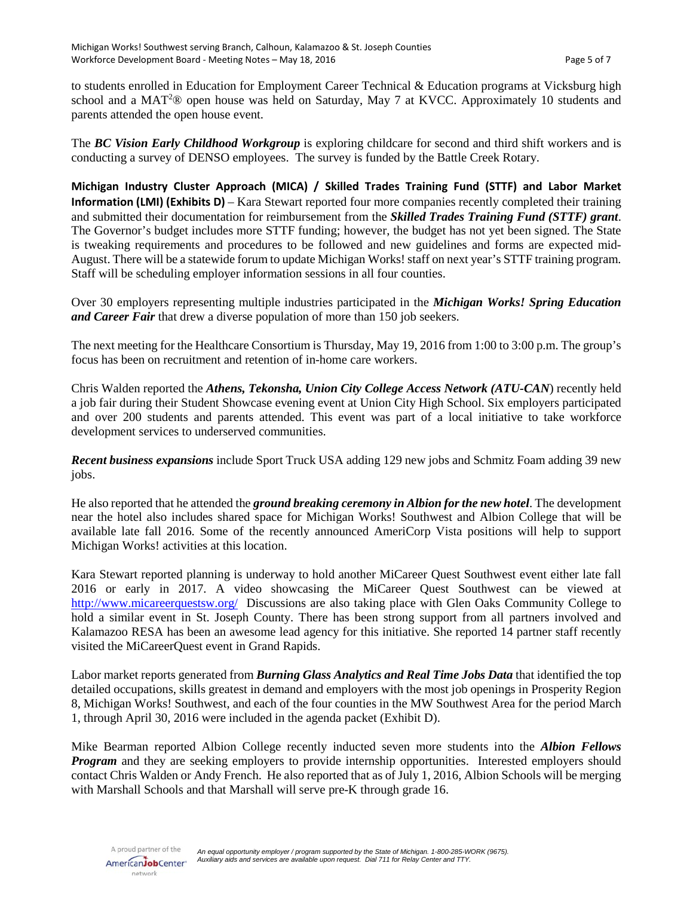to students enrolled in Education for Employment Career Technical & Education programs at Vicksburg high school and a MAT<sup>2</sup>® open house was held on Saturday, May 7 at KVCC. Approximately 10 students and parents attended the open house event.

The *BC Vision Early Childhood Workgroup* is exploring childcare for second and third shift workers and is conducting a survey of DENSO employees. The survey is funded by the Battle Creek Rotary.

**Michigan Industry Cluster Approach (MICA) / Skilled Trades Training Fund (STTF) and Labor Market Information (LMI) (Exhibits D)** – Kara Stewart reported four more companies recently completed their training and submitted their documentation for reimbursement from the *Skilled Trades Training Fund (STTF) grant*. The Governor's budget includes more STTF funding; however, the budget has not yet been signed. The State is tweaking requirements and procedures to be followed and new guidelines and forms are expected mid-August. There will be a statewide forum to update Michigan Works! staff on next year's STTF training program. Staff will be scheduling employer information sessions in all four counties.

Over 30 employers representing multiple industries participated in the *Michigan Works! Spring Education and Career Fair* that drew a diverse population of more than 150 job seekers.

The next meeting for the Healthcare Consortium is Thursday, May 19, 2016 from 1:00 to 3:00 p.m. The group's focus has been on recruitment and retention of in-home care workers.

Chris Walden reported the *Athens, Tekonsha, Union City College Access Network (ATU-CAN*) recently held a job fair during their Student Showcase evening event at Union City High School. Six employers participated and over 200 students and parents attended. This event was part of a local initiative to take workforce development services to underserved communities.

*Recent business expansions* include Sport Truck USA adding 129 new jobs and Schmitz Foam adding 39 new jobs.

He also reported that he attended the *ground breaking ceremony in Albion for the new hotel*. The development near the hotel also includes shared space for Michigan Works! Southwest and Albion College that will be available late fall 2016. Some of the recently announced AmeriCorp Vista positions will help to support Michigan Works! activities at this location.

Kara Stewart reported planning is underway to hold another MiCareer Quest Southwest event either late fall 2016 or early in 2017. A video showcasing the MiCareer Quest Southwest can be viewed at <http://www.micareerquestsw.org/>Discussions are also taking place with Glen Oaks Community College to hold a similar event in St. Joseph County. There has been strong support from all partners involved and Kalamazoo RESA has been an awesome lead agency for this initiative. She reported 14 partner staff recently visited the MiCareerQuest event in Grand Rapids.

Labor market reports generated from *Burning Glass Analytics and Real Time Jobs Data* that identified the top detailed occupations, skills greatest in demand and employers with the most job openings in Prosperity Region 8, Michigan Works! Southwest, and each of the four counties in the MW Southwest Area for the period March 1, through April 30, 2016 were included in the agenda packet (Exhibit D).

Mike Bearman reported Albion College recently inducted seven more students into the *Albion Fellows Program* and they are seeking employers to provide internship opportunities. Interested employers should contact Chris Walden or Andy French. He also reported that as of July 1, 2016, Albion Schools will be merging with Marshall Schools and that Marshall will serve pre-K through grade 16.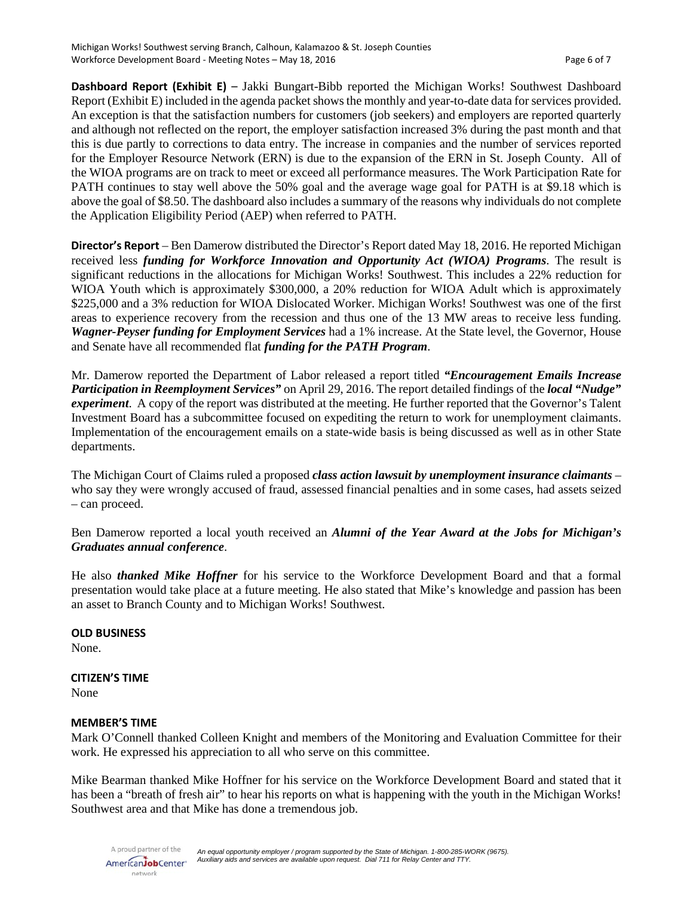**Dashboard Report (Exhibit E)** – Jakki Bungart-Bibb reported the Michigan Works! Southwest Dashboard Report (Exhibit E) included in the agenda packet shows the monthly and year-to-date data for services provided. An exception is that the satisfaction numbers for customers (job seekers) and employers are reported quarterly and although not reflected on the report, the employer satisfaction increased 3% during the past month and that this is due partly to corrections to data entry. The increase in companies and the number of services reported for the Employer Resource Network (ERN) is due to the expansion of the ERN in St. Joseph County. All of the WIOA programs are on track to meet or exceed all performance measures. The Work Participation Rate for PATH continues to stay well above the 50% goal and the average wage goal for PATH is at \$9.18 which is above the goal of \$8.50. The dashboard also includes a summary of the reasons why individuals do not complete the Application Eligibility Period (AEP) when referred to PATH.

**Director's Report** – Ben Damerow distributed the Director's Report dated May 18, 2016. He reported Michigan received less *funding for Workforce Innovation and Opportunity Act (WIOA) Programs*. The result is significant reductions in the allocations for Michigan Works! Southwest. This includes a 22% reduction for WIOA Youth which is approximately \$300,000, a 20% reduction for WIOA Adult which is approximately \$225,000 and a 3% reduction for WIOA Dislocated Worker. Michigan Works! Southwest was one of the first areas to experience recovery from the recession and thus one of the 13 MW areas to receive less funding. *Wagner-Peyser funding for Employment Services* had a 1% increase. At the State level, the Governor, House and Senate have all recommended flat *funding for the PATH Program*.

Mr. Damerow reported the Department of Labor released a report titled *"Encouragement Emails Increase Participation in Reemployment Services"* on April 29, 2016. The report detailed findings of the *local "Nudge" experiment*. A copy of the report was distributed at the meeting. He further reported that the Governor's Talent Investment Board has a subcommittee focused on expediting the return to work for unemployment claimants. Implementation of the encouragement emails on a state-wide basis is being discussed as well as in other State departments.

The Michigan Court of Claims ruled a proposed *class action lawsuit by unemployment insurance claimants* – who say they were wrongly accused of fraud, assessed financial penalties and in some cases, had assets seized – can proceed.

Ben Damerow reported a local youth received an *Alumni of the Year Award at the Jobs for Michigan's Graduates annual conference*.

He also *thanked Mike Hoffner* for his service to the Workforce Development Board and that a formal presentation would take place at a future meeting. He also stated that Mike's knowledge and passion has been an asset to Branch County and to Michigan Works! Southwest.

**OLD BUSINESS**

None.

### **CITIZEN'S TIME**

None

### **MEMBER'S TIME**

Mark O'Connell thanked Colleen Knight and members of the Monitoring and Evaluation Committee for their work. He expressed his appreciation to all who serve on this committee.

Mike Bearman thanked Mike Hoffner for his service on the Workforce Development Board and stated that it has been a "breath of fresh air" to hear his reports on what is happening with the youth in the Michigan Works! Southwest area and that Mike has done a tremendous job.

A proud partner of the AmericanJobCenter\* network